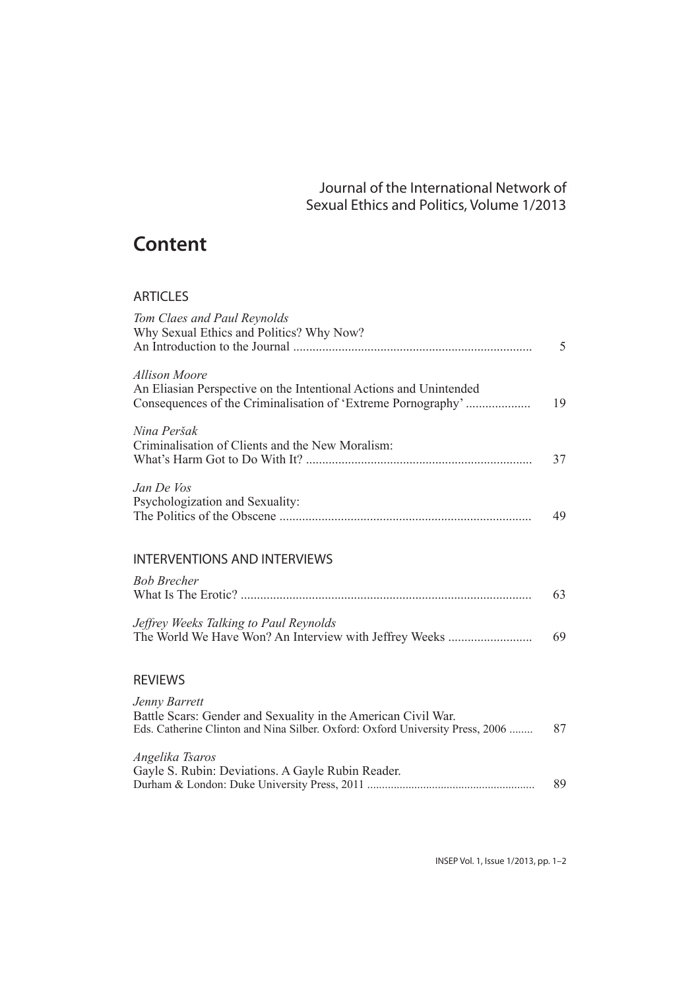## Journal of the International Network of Sexual Ethics and Politics, Volume 1/2013

## **Content**

## ARTICLES

| Tom Claes and Paul Reynolds<br>Why Sexual Ethics and Politics? Why Now?                                                                                         | 5  |
|-----------------------------------------------------------------------------------------------------------------------------------------------------------------|----|
| Allison Moore<br>An Eliasian Perspective on the Intentional Actions and Unintended<br>Consequences of the Criminalisation of 'Extreme Pornography'              | 19 |
| Nina Peršak<br>Criminalisation of Clients and the New Moralism:                                                                                                 | 37 |
| Jan De Vos<br>Psychologization and Sexuality:                                                                                                                   | 49 |
| <b>INTERVENTIONS AND INTERVIEWS</b>                                                                                                                             |    |
| <b>Bob Brecher</b>                                                                                                                                              | 63 |
| Jeffrey Weeks Talking to Paul Reynolds<br>The World We Have Won? An Interview with Jeffrey Weeks                                                                | 69 |
| <b>REVIEWS</b>                                                                                                                                                  |    |
| Jenny Barrett<br>Battle Scars: Gender and Sexuality in the American Civil War.<br>Eds. Catherine Clinton and Nina Silber. Oxford: Oxford University Press, 2006 | 87 |
| Angelika Tsaros<br>Gayle S. Rubin: Deviations. A Gayle Rubin Reader.                                                                                            | 89 |